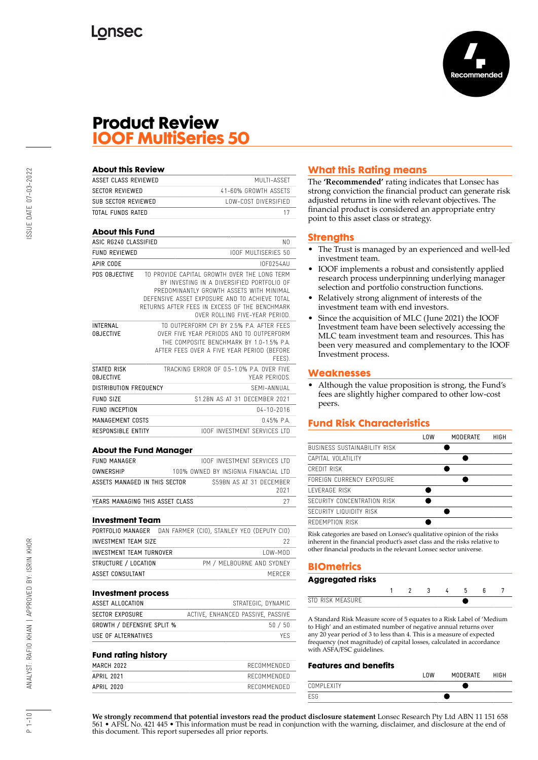

## **Product Review IOOF MultiSeries 50**

| <b>About this Review</b>            |                               |                                                                                                                                                                                                                                                                            |
|-------------------------------------|-------------------------------|----------------------------------------------------------------------------------------------------------------------------------------------------------------------------------------------------------------------------------------------------------------------------|
| <b>ASSET CLASS REVIEWED</b>         |                               | MUITI-ASSFT                                                                                                                                                                                                                                                                |
| SECTOR REVIEWED                     |                               | 41-60% GROWTH ASSETS                                                                                                                                                                                                                                                       |
| SUB SECTOR REVIEWED                 |                               | <b>LOW-COST DIVERSIFIED</b>                                                                                                                                                                                                                                                |
| TOTAL FUNDS RATED                   |                               | 17                                                                                                                                                                                                                                                                         |
| <b>About this Fund</b>              |                               |                                                                                                                                                                                                                                                                            |
| ASIC RG240 CLASSIFIED               |                               | N0                                                                                                                                                                                                                                                                         |
| <b>FUND REVIEWED</b>                |                               | <b>IOOF MULTISERIES 50</b>                                                                                                                                                                                                                                                 |
| APIR CODE                           |                               | I0F0254AU                                                                                                                                                                                                                                                                  |
| PDS OBJECTIVE                       |                               | TO PROVIDE CAPITAL GROWTH OVER THE LONG TERM<br>BY INVESTING IN A DIVERSIFIED PORTEOLIO OF<br>PREDOMINANTLY GROWTH ASSETS WITH MINIMAL<br>DEFENSIVE ASSET EXPOSURE AND TO ACHIEVE TOTAL<br>RETURNS AFTER FFFS IN EXCESS OF THE BENCHMARK<br>OVER ROLLING FIVE-YEAR PERIOD. |
| <b>INTERNAL</b><br><b>OBJECTIVE</b> |                               | TO OUTPERFORM CPI BY 2.5% P.A. AFTER FFFS<br>OVER FIVE YEAR PERIODS AND TO OUTPERFORM<br>THE COMPOSITE BENCHMARK BY 1.0-1.5% P.A.<br>AFTER FEES OVER A FIVE YEAR PERIOD (BEFORE<br>FEES).                                                                                  |
| STATED RISK<br><b>OBJECTIVE</b>     |                               | TRACKING FRROR OF 0.5-1.0% P.A. OVER FIVE<br>YEAR PERIODS                                                                                                                                                                                                                  |
| <b>DISTRIBUTION FREQUENCY</b>       |                               | SFMI-ANNUAL                                                                                                                                                                                                                                                                |
| <b>FUND SIZE</b>                    |                               | \$1.2BN AS AT 31 DECEMBER 2021                                                                                                                                                                                                                                             |
| <b>FUND INCEPTION</b>               |                               | $04 - 10 - 2016$                                                                                                                                                                                                                                                           |
| MANAGEMENT COSTS                    |                               | $0.45%$ P.A.                                                                                                                                                                                                                                                               |
| RESPONSIBLE ENTITY                  |                               | <b>IOOF INVESTMENT SERVICES LTD</b>                                                                                                                                                                                                                                        |
|                                     | <b>About the Fund Manager</b> |                                                                                                                                                                                                                                                                            |
| <b>FUND MANAGER</b>                 |                               | <b>IOOF INVESTMENT SERVICES ITD</b>                                                                                                                                                                                                                                        |
| <b>OWNERSHIP</b>                    |                               | 100% OWNED BY INSIGNIA FINANCIAL LTD                                                                                                                                                                                                                                       |

| OWNERSHIP                       | 100% OWNED BY INSIGNIA FINANCIAL LTD |  |  |                         |      |
|---------------------------------|--------------------------------------|--|--|-------------------------|------|
| ASSETS MANAGED IN THIS SECTOR   |                                      |  |  | S59BN AS AT 31 DECEMBER | 2021 |
| YEARS MANAGING THIS ASSET CLASS |                                      |  |  |                         |      |

## **Investment Team**

| PORTFOLIO MANAGER        | DAN FARMER (CIO), STANLEY YEO (DEPUTY CIO) |
|--------------------------|--------------------------------------------|
| INVESTMENT TEAM SIZE     | 22                                         |
| INVESTMENT TEAM TURNOVER | $10W-M0D$                                  |
| STRUCTURE / LOCATION     | PM / MELBOURNE AND SYDNEY                  |
| ASSET CONSULTANT         | MERCER                                     |
|                          |                                            |

#### **Investment process**

| ASSET ALLOCATION                  | STRATEGIC, DYNAMIC                |
|-----------------------------------|-----------------------------------|
| SECTOR EXPOSURE                   | ACTIVE, ENHANCED PASSIVE, PASSIVE |
| <b>GROWTH / DEFENSIVE SPLIT %</b> | 50/50                             |
| USE OF ALTERNATIVES               | YFS.                              |

## **Fund rating history**

| --<br>- - - |             |
|-------------|-------------|
| MARCH 2022  | RECOMMENDED |
| APRIL 2021  | RECOMMENDED |
| APRIL 2020  | RECOMMENDED |
|             |             |

## **What this Rating means**

The **'Recommended'** rating indicates that Lonsec has strong conviction the financial product can generate risk adjusted returns in line with relevant objectives. The financial product is considered an appropriate entry point to this asset class or strategy.

## **Strengths**

- The Trust is managed by an experienced and well-led investment team.
- IOOF implements a robust and consistently applied research process underpinning underlying manager selection and portfolio construction functions.
- Relatively strong alignment of interests of the investment team with end investors.
- Since the acquisition of MLC (June 2021) the IOOF Investment team have been selectively accessing the MLC team investment team and resources. This has been very measured and complementary to the IOOF Investment process.

## **Weaknesses**

• Although the value proposition is strong, the Fund's fees are slightly higher compared to other low-cost peers.

## **Fund Risk Characteristics**

|                              | <b>LOW</b> | MODERATE | HIGH |
|------------------------------|------------|----------|------|
| BUSINESS SUSTAINABILITY RISK |            |          |      |
| CAPITAL VOLATILITY           |            |          |      |
| CREDIT RISK                  |            |          |      |
| FORFIGN CURRENCY EXPOSURE    |            |          |      |
| I FVFRAGF RISK               |            |          |      |
| SECURITY CONCENTRATION RISK  |            |          |      |
| SECURITY LIQUIDITY RISK      |            |          |      |
| REDEMPTION RISK              |            |          |      |
|                              |            |          |      |

Risk categories are based on Lonsec's qualitative opinion of the risks inherent in the financial product's asset class and the risks relative to other financial products in the relevant Lonsec sector universe.

## **BIOmetrics**

| Aggregated risks |  |    |  |  |
|------------------|--|----|--|--|
|                  |  | -3 |  |  |
| STD RISK MEASURE |  |    |  |  |

A Standard Risk Measure score of 5 equates to a Risk Label of 'Medium to High' and an estimated number of negative annual returns over any 20 year period of 3 to less than 4. This is a measure of expected frequency (not magnitude) of capital losses, calculated in accordance with ASFA/FSC guidelines.

#### **Features and benefits**

|             | 0 <sub>W</sub> | <b>MODERATE</b> | <b>HIGH</b> |
|-------------|----------------|-----------------|-------------|
| COMPI FXITY |                |                 |             |
| ESG         |                |                 |             |

**We strongly recommend that potential investors read the product disclosure statement** Lonsec Research Pty Ltd ABN 11 151 658 561 • AFSL No. 421 445 • This information must be read in conjunction with the warning, disclaimer, and disclosure at the end of this document. This report supersedes all prior reports.

 $1 - 10$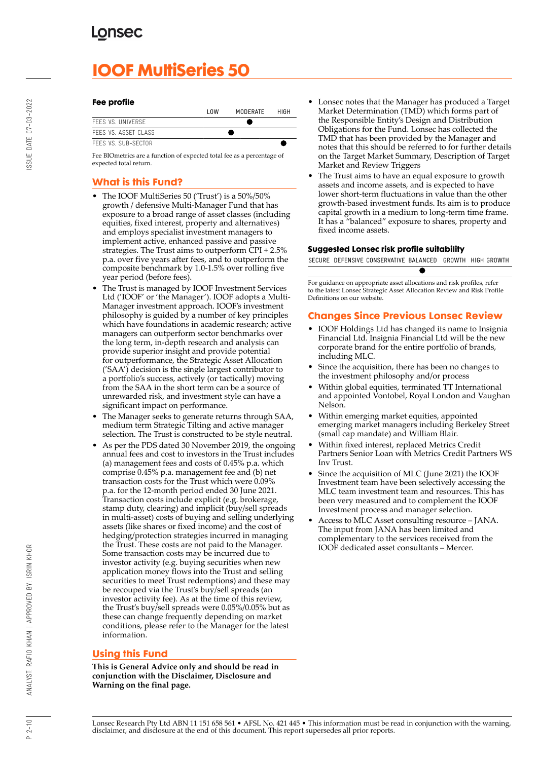# **IOOF MultiSeries 50**

## **Fee profile**

|                      | l OW | MODERATE | HIGH |
|----------------------|------|----------|------|
| FFFS VS. UNIVERSE    |      |          |      |
| FFFS VS. ASSFT CLASS |      |          |      |
| FFFS VS. SUB-SECTOR  |      |          |      |

Fee BIOmetrics are a function of expected total fee as a percentage of expected total return.

## **What is this Fund?**

- The IOOF MultiSeries 50 ('Trust') is a 50%/50% growth / defensive Multi-Manager Fund that has exposure to a broad range of asset classes (including equities, fixed interest, property and alternatives) and employs specialist investment managers to implement active, enhanced passive and passive strategies. The Trust aims to outperform CPI + 2.5% p.a. over five years after fees, and to outperform the composite benchmark by 1.0-1.5% over rolling five year period (before fees).
- The Trust is managed by IOOF Investment Services Ltd ('IOOF' or 'the Manager'). IOOF adopts a Multi-Manager investment approach. IOOF's investment philosophy is guided by a number of key principles which have foundations in academic research; active managers can outperform sector benchmarks over the long term, in-depth research and analysis can provide superior insight and provide potential for outperformance, the Strategic Asset Allocation ('SAA') decision is the single largest contributor to a portfolio's success, actively (or tactically) moving from the SAA in the short term can be a source of unrewarded risk, and investment style can have a significant impact on performance.
- The Manager seeks to generate returns through SAA, medium term Strategic Tilting and active manager selection. The Trust is constructed to be style neutral.
- As per the PDS dated 30 November 2019, the ongoing annual fees and cost to investors in the Trust includes (a) management fees and costs of 0.45% p.a. which comprise 0.45% p.a. management fee and (b) net transaction costs for the Trust which were 0.09% p.a. for the 12-month period ended 30 June 2021. Transaction costs include explicit (e.g. brokerage, stamp duty, clearing) and implicit (buy/sell spreads in multi-asset) costs of buying and selling underlying assets (like shares or fixed income) and the cost of hedging/protection strategies incurred in managing the Trust. These costs are not paid to the Manager. Some transaction costs may be incurred due to investor activity (e.g. buying securities when new application money flows into the Trust and selling securities to meet Trust redemptions) and these may be recouped via the Trust's buy/sell spreads (an investor activity fee). As at the time of this review, the Trust's buy/sell spreads were 0.05%/0.05% but as these can change frequently depending on market conditions, please refer to the Manager for the latest information.

## **Using this Fund**

**This is General Advice only and should be read in conjunction with the Disclaimer, Disclosure and Warning on the final page.**

- Lonsec notes that the Manager has produced a Target Market Determination (TMD) which forms part of the Responsible Entity's Design and Distribution Obligations for the Fund. Lonsec has collected the TMD that has been provided by the Manager and notes that this should be referred to for further details on the Target Market Summary, Description of Target Market and Review Triggers
- The Trust aims to have an equal exposure to growth assets and income assets, and is expected to have lower short-term fluctuations in value than the other growth-based investment funds. Its aim is to produce capital growth in a medium to long-term time frame. It has a "balanced" exposure to shares, property and fixed income assets.

## **Suggested Lonsec risk profile suitability**

SECURE DEFENSIVE CONSERVATIVE BALANCED GROWTH HIGH GROWTH

For guidance on appropriate asset allocations and risk profiles, refer to the latest Lonsec Strategic Asset Allocation Review and Risk Profile Definitions on our website.

## **Changes Since Previous Lonsec Review**

- IOOF Holdings Ltd has changed its name to Insignia Financial Ltd. Insignia Financial Ltd will be the new corporate brand for the entire portfolio of brands, including MLC.
- Since the acquisition, there has been no changes to the investment philosophy and/or process
- Within global equities, terminated TT International and appointed Vontobel, Royal London and Vaughan Nelson.
- Within emerging market equities, appointed emerging market managers including Berkeley Street (small cap mandate) and William Blair.
- Within fixed interest, replaced Metrics Credit Partners Senior Loan with Metrics Credit Partners WS Inv Trust.
- Since the acquisition of MLC (June 2021) the IOOF Investment team have been selectively accessing the MLC team investment team and resources. This has been very measured and to complement the IOOF Investment process and manager selection.
- Access to MLC Asset consulting resource JANA. The input from JANA has been limited and complementary to the services received from the IOOF dedicated asset consultants – Mercer.

BY: ISRIN KHOR

Lonsec Research Pty Ltd ABN 11 151 658 561 • AFSL No. 421 445 • This information must be read in conjunction with the warning, disclaimer, and disclosure at the end of this document. This report supersedes all prior reports.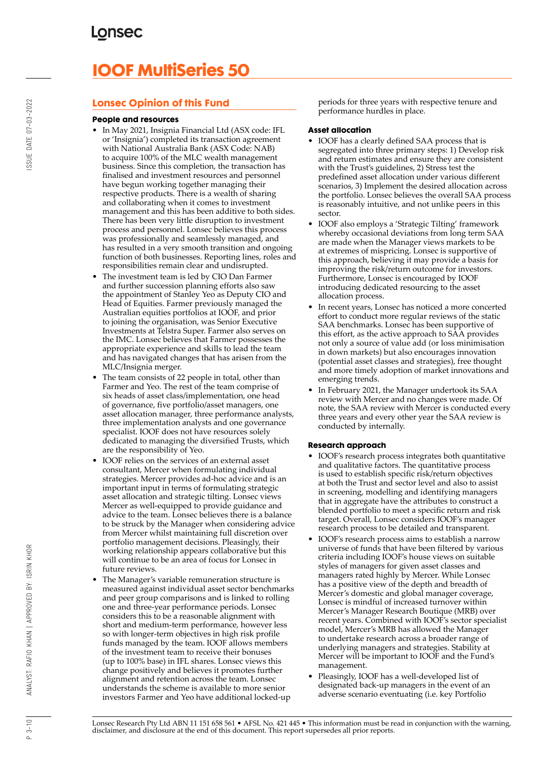# **IOOF MultiSeries 50**

## **Lonsec Opinion of this Fund**

## **People and resources**

- In May 2021, Insignia Financial Ltd (ASX code: IFL or 'Insignia') completed its transaction agreement with National Australia Bank (ASX Code: NAB) to acquire 100% of the MLC wealth management business. Since this completion, the transaction has finalised and investment resources and personnel have begun working together managing their respective products. There is a wealth of sharing and collaborating when it comes to investment management and this has been additive to both sides. There has been very little disruption to investment process and personnel. Lonsec believes this process was professionally and seamlessly managed, and has resulted in a very smooth transition and ongoing function of both businesses. Reporting lines, roles and responsibilities remain clear and undisrupted.
- The investment team is led by CIO Dan Farmer and further succession planning efforts also saw the appointment of Stanley Yeo as Deputy CIO and Head of Equities. Farmer previously managed the Australian equities portfolios at IOOF, and prior to joining the organisation, was Senior Executive Investments at Telstra Super. Farmer also serves on the IMC. Lonsec believes that Farmer possesses the appropriate experience and skills to lead the team and has navigated changes that has arisen from the MLC/Insignia merger.
- The team consists of 22 people in total, other than Farmer and Yeo. The rest of the team comprise of six heads of asset class/implementation, one head of governance, five portfolio/asset managers, one asset allocation manager, three performance analysts, three implementation analysts and one governance specialist. IOOF does not have resources solely dedicated to managing the diversified Trusts, which are the responsibility of Yeo.
- IOOF relies on the services of an external asset consultant, Mercer when formulating individual strategies. Mercer provides ad-hoc advice and is an important input in terms of formulating strategic asset allocation and strategic tilting. Lonsec views Mercer as well-equipped to provide guidance and advice to the team. Lonsec believes there is a balance to be struck by the Manager when considering advice from Mercer whilst maintaining full discretion over portfolio management decisions. Pleasingly, their working relationship appears collaborative but this will continue to be an area of focus for Lonsec in future reviews.
- The Manager's variable remuneration structure is measured against individual asset sector benchmarks and peer group comparisons and is linked to rolling one and three-year performance periods. Lonsec considers this to be a reasonable alignment with short and medium-term performance, however less so with longer-term objectives in high risk profile funds managed by the team. IOOF allows members of the investment team to receive their bonuses (up to 100% base) in IFL shares. Lonsec views this change positively and believes it promotes further alignment and retention across the team. Lonsec understands the scheme is available to more senior investors Farmer and Yeo have additional locked-up

periods for three years with respective tenure and performance hurdles in place.

## **Asset allocation**

- IOOF has a clearly defined SAA process that is segregated into three primary steps: 1) Develop risk and return estimates and ensure they are consistent with the Trust's guidelines, 2) Stress test the predefined asset allocation under various different scenarios, 3) Implement the desired allocation across the portfolio. Lonsec believes the overall SAA process is reasonably intuitive, and not unlike peers in this sector.
- IOOF also employs a 'Strategic Tilting' framework whereby occasional deviations from long term SAA are made when the Manager views markets to be at extremes of mispricing. Lonsec is supportive of this approach, believing it may provide a basis for improving the risk/return outcome for investors. Furthermore, Lonsec is encouraged by IOOF introducing dedicated resourcing to the asset allocation process.
- In recent years, Lonsec has noticed a more concerted effort to conduct more regular reviews of the static SAA benchmarks. Lonsec has been supportive of this effort, as the active approach to SAA provides not only a source of value add (or loss minimisation in down markets) but also encourages innovation (potential asset classes and strategies), free thought and more timely adoption of market innovations and emerging trends.
- In February 2021, the Manager undertook its SAA review with Mercer and no changes were made. Of note, the SAA review with Mercer is conducted every three years and every other year the SAA review is conducted by internally.

## **Research approach**

- IOOF's research process integrates both quantitative and qualitative factors. The quantitative process is used to establish specific risk/return objectives at both the Trust and sector level and also to assist in screening, modelling and identifying managers that in aggregate have the attributes to construct a blended portfolio to meet a specific return and risk target. Overall, Lonsec considers IOOF's manager research process to be detailed and transparent.
- IOOF's research process aims to establish a narrow universe of funds that have been filtered by various criteria including IOOF's house views on suitable styles of managers for given asset classes and managers rated highly by Mercer. While Lonsec has a positive view of the depth and breadth of Mercer's domestic and global manager coverage, Lonsec is mindful of increased turnover within Mercer's Manager Research Boutique (MRB) over recent years. Combined with IOOF's sector specialist model, Mercer's MRB has allowed the Manager to undertake research across a broader range of underlying managers and strategies. Stability at Mercer will be important to IOOF and the Fund's management.
- Pleasingly, IOOF has a well-developed list of designated back-up managers in the event of an adverse scenario eventuating (i.e. key Portfolio

 $P_3 - 10$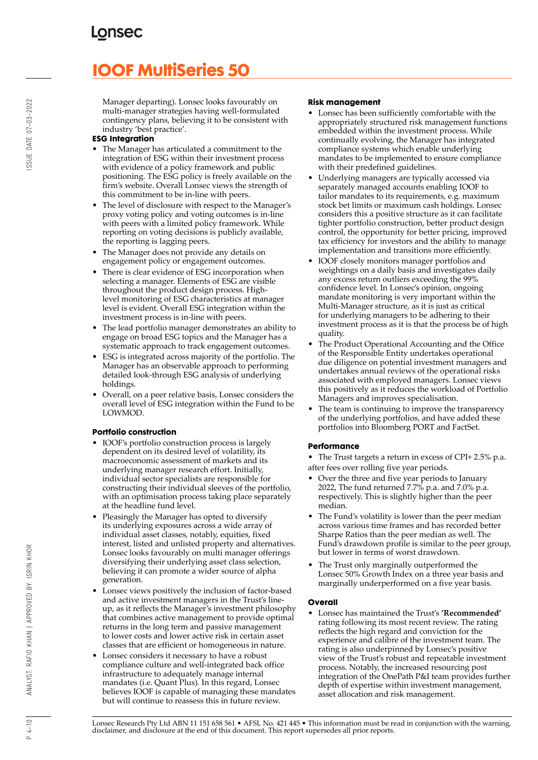# **IOOF MultiSeries 50**

Manager departing). Lonsec looks favourably on multi-manager strategies having well-formulated contingency plans, believing it to be consistent with industry 'best practice'.

## **ESG Integration**

- The Manager has articulated a commitment to the integration of ESG within their investment process with evidence of a policy framework and public positioning. The ESG policy is freely available on the firm's website. Overall Lonsec views the strength of this commitment to be in-line with peers.
- The level of disclosure with respect to the Manager's proxy voting policy and voting outcomes is in-line with peers with a limited policy framework. While reporting on voting decisions is publicly available, the reporting is lagging peers.
- The Manager does not provide any details on engagement policy or engagement outcomes.
- There is clear evidence of ESG incorporation when selecting a manager. Elements of ESG are visible throughout the product design process. Highlevel monitoring of ESG characteristics at manager level is evident. Overall ESG integration within the investment process is in-line with peers.
- The lead portfolio manager demonstrates an ability to engage on broad ESG topics and the Manager has a systematic approach to track engagement outcomes.
- ESG is integrated across majority of the portfolio. The Manager has an observable approach to performing detailed look-through ESG analysis of underlying holdings.
- Overall, on a peer relative basis, Lonsec considers the overall level of ESG integration within the Fund to be LOWMOD.

## **Portfolio construction**

- IOOF's portfolio construction process is largely dependent on its desired level of volatility, its macroeconomic assessment of markets and its underlying manager research effort. Initially, individual sector specialists are responsible for constructing their individual sleeves of the portfolio, with an optimisation process taking place separately at the headline fund level.
- Pleasingly the Manager has opted to diversify its underlying exposures across a wide array of individual asset classes, notably, equities, fixed interest, listed and unlisted property and alternatives. Lonsec looks favourably on multi manager offerings diversifying their underlying asset class selection, believing it can promote a wider source of alpha generation.
- Lonsec views positively the inclusion of factor-based and active investment managers in the Trust's lineup, as it reflects the Manager's investment philosophy that combines active management to provide optimal returns in the long term and passive management to lower costs and lower active risk in certain asset classes that are efficient or homogeneous in nature.
- Lonsec considers it necessary to have a robust compliance culture and well-integrated back office infrastructure to adequately manage internal mandates (i.e. Quant Plus). In this regard, Lonsec believes IOOF is capable of managing these mandates but will continue to reassess this in future review.

## **Risk management**

- Lonsec has been sufficiently comfortable with the appropriately structured risk management functions embedded within the investment process. While continually evolving, the Manager has integrated compliance systems which enable underlying mandates to be implemented to ensure compliance with their predefined guidelines.
- Underlying managers are typically accessed via separately managed accounts enabling IOOF to tailor mandates to its requirements, e.g. maximum stock bet limits or maximum cash holdings. Lonsec considers this a positive structure as it can facilitate tighter portfolio construction, better product design control, the opportunity for better pricing, improved tax efficiency for investors and the ability to manage implementation and transitions more efficiently.
- IOOF closely monitors manager portfolios and weightings on a daily basis and investigates daily any excess return outliers exceeding the 99% confidence level. In Lonsec's opinion, ongoing mandate monitoring is very important within the Multi-Manager structure, as it is just as critical for underlying managers to be adhering to their investment process as it is that the process be of high quality.
- The Product Operational Accounting and the Office of the Responsible Entity undertakes operational due diligence on potential investment managers and undertakes annual reviews of the operational risks associated with employed managers. Lonsec views this positively as it reduces the workload of Portfolio Managers and improves specialisation.
- The team is continuing to improve the transparency of the underlying portfolios, and have added these portfolios into Bloomberg PORT and FactSet.

## **Performance**

• The Trust targets a return in excess of CPI+ 2.5% p.a. after fees over rolling five year periods.

- Over the three and five year periods to January 2022, The fund returned 7.7% p.a. and 7.0% p.a. respectively. This is slightly higher than the peer median.
- The Fund's volatility is lower than the peer median across various time frames and has recorded better Sharpe Ratios than the peer median as well. The Fund's drawdown profile is similar to the peer group, but lower in terms of worst drawdown.
- The Trust only marginally outperformed the Lonsec 50% Growth Index on a three year basis and marginally underperformed on a five year basis.

## **Overall**

• Lonsec has maintained the Trust's **'Recommended'** rating following its most recent review. The rating reflects the high regard and conviction for the experience and calibre of the investment team. The rating is also underpinned by Lonsec's positive view of the Trust's robust and repeatable investment process. Notably, the increased resourcing post integration of the OnePath P&I team provides further depth of expertise within investment management, asset allocation and risk management.

Lonsec Research Pty Ltd ABN 11 151 658 561 • AFSL No. 421 445 • This information must be read in conjunction with the warning, disclaimer, and disclosure at the end of this document. This report supersedes all prior reports.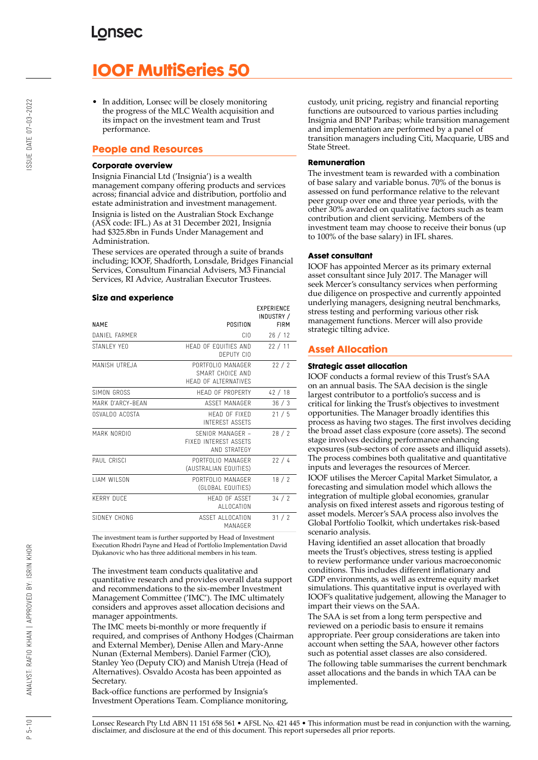# **IOOF MultiSeries 50**

• In addition, Lonsec will be closely monitoring the progress of the MLC Wealth acquisition and its impact on the investment team and Trust performance.

## **People and Resources**

#### **Corporate overview**

Insignia Financial Ltd ('Insignia') is a wealth management company offering products and services across; financial advice and distribution, portfolio and estate administration and investment management. Insignia is listed on the Australian Stock Exchange (ASX code: IFL.) As at 31 December 2021, Insignia had \$325.8bn in Funds Under Management and Administration.

These services are operated through a suite of brands including; IOOF, Shadforth, Lonsdale, Bridges Financial Services, Consultum Financial Advisers, M3 Financial Services, RI Advice, Australian Executor Trustees.

#### **Size and experience**

|                     |                                                                      | <b>EXPERIENCE</b><br>INDUSTRY / |
|---------------------|----------------------------------------------------------------------|---------------------------------|
| <b>NAME</b>         | POSITION                                                             | <b>FIRM</b>                     |
| DANIFI FARMER       | CIO.                                                                 | 26/12                           |
| STANI FY YFO        | HEAD OF FOUITIES AND<br>DEPUTY CIO                                   | 22/11                           |
| MANISH UTREJA       | PORTEOLIO MANAGER<br>SMART CHOICF AND<br><b>HEAD OF ALTERNATIVES</b> | 22/2                            |
| SIMON GROSS         | HEAD OF PROPERTY                                                     | 42/18                           |
| MARK D'ARCY-BFAN    | ASSFT MANAGER                                                        | 36/3                            |
| OSVALDO ACOSTA      | HFAD OF FIXED<br><b>INTEREST ASSETS</b>                              | 21/5                            |
| MARK NORDIO         | SENIOR MANAGER -<br><b>FIXED INTEREST ASSETS</b><br>AND STRATEGY     | 28/2                            |
| PAUL CRISCI         | PORTFOLIO MANAGER<br>(AUSTRALIAN EQUITIES)                           | 22/4                            |
| <b>I IAM WILSON</b> | PORTFOLIO MANAGER<br>(GLOBAL EQUITIES)                               | 18/2                            |
| <b>KERRY DUCF</b>   | <b>HFAD OF ASSFT</b><br>ALLOCATION                                   | 34/2                            |
| SIDNEY CHONG        | ASSET ALLOCATION<br>MANAGFR                                          | 31/2                            |

The investment team is further supported by Head of Investment Execution Rhodri Payne and Head of Portfolio Implementation David Djukanovic who has three additional members in his team.

The investment team conducts qualitative and quantitative research and provides overall data support and recommendations to the six-member Investment Management Committee ('IMC'). The IMC ultimately considers and approves asset allocation decisions and manager appointments.

The IMC meets bi-monthly or more frequently if required, and comprises of Anthony Hodges (Chairman and External Member), Denise Allen and Mary-Anne Nunan (External Members). Daniel Farmer (CIO), Stanley Yeo (Deputy CIO) and Manish Utreja (Head of Alternatives). Osvaldo Acosta has been appointed as Secretary.

Back-office functions are performed by Insignia's Investment Operations Team. Compliance monitoring, custody, unit pricing, registry and financial reporting functions are outsourced to various parties including Insignia and BNP Paribas; while transition management and implementation are performed by a panel of transition managers including Citi, Macquarie, UBS and State Street.

## **Remuneration**

The investment team is rewarded with a combination of base salary and variable bonus. 70% of the bonus is assessed on fund performance relative to the relevant peer group over one and three year periods, with the other 30% awarded on qualitative factors such as team contribution and client servicing. Members of the investment team may choose to receive their bonus (up to 100% of the base salary) in IFL shares.

## **Asset consultant**

IOOF has appointed Mercer as its primary external asset consultant since July 2017. The Manager will seek Mercer's consultancy services when performing due diligence on prospective and currently appointed underlying managers, designing neutral benchmarks, stress testing and performing various other risk management functions. Mercer will also provide strategic tilting advice.

## **Asset Allocation**

#### **Strategic asset allocation**

IOOF conducts a formal review of this Trust's SAA on an annual basis. The SAA decision is the single largest contributor to a portfolio's success and is critical for linking the Trust's objectives to investment opportunities. The Manager broadly identifies this process as having two stages. The first involves deciding the broad asset class exposure (core assets). The second stage involves deciding performance enhancing exposures (sub-sectors of core assets and illiquid assets). The process combines both qualitative and quantitative inputs and leverages the resources of Mercer.

IOOF utilises the Mercer Capital Market Simulator, a forecasting and simulation model which allows the integration of multiple global economies, granular analysis on fixed interest assets and rigorous testing of asset models. Mercer's SAA process also involves the Global Portfolio Toolkit, which undertakes risk-based scenario analysis.

Having identified an asset allocation that broadly meets the Trust's objectives, stress testing is applied to review performance under various macroeconomic conditions. This includes different inflationary and GDP environments, as well as extreme equity market simulations. This quantitative input is overlayed with IOOF's qualitative judgement, allowing the Manager to impart their views on the SAA.

The SAA is set from a long term perspective and reviewed on a periodic basis to ensure it remains appropriate. Peer group considerations are taken into account when setting the SAA, however other factors such as potential asset classes are also considered. The following table summarises the current benchmark asset allocations and the bands in which TAA can be implemented.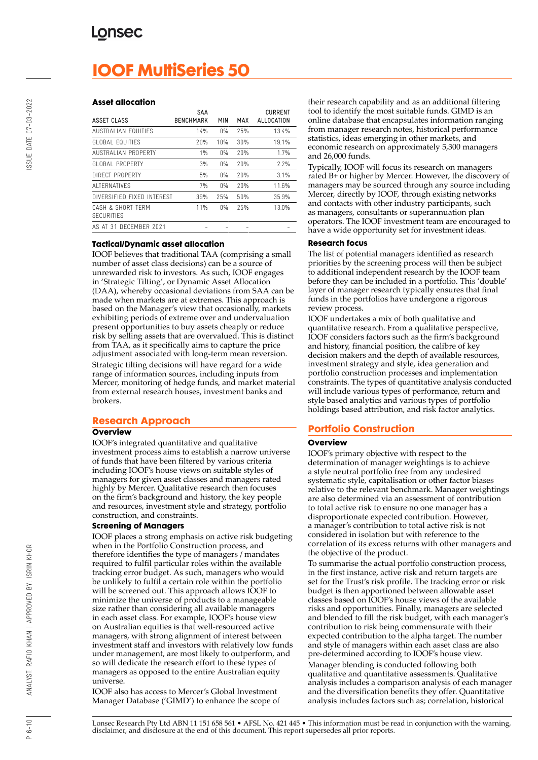# **IOOF MultiSeries 50**

## **Asset allocation**

| ASSET CLASS                            | <b>SAA</b><br><b>BENCHMARK</b> | MIN   | MAX | <b>CURRENT</b><br>ALLOCATION |
|----------------------------------------|--------------------------------|-------|-----|------------------------------|
| AUSTRALIAN FOUITIES                    | 14%                            | 0%    | 25% | 13.4%                        |
| GLOBAL FOUITIES                        | 20%                            | 10%   | 30% | 19.1%                        |
| AUSTRALIAN PROPERTY                    | $1\%$                          | 0%    | 20% | 1.7%                         |
| GLOBAL PROPERTY                        | 3%                             | $0\%$ | 20% | 2.2%                         |
| DIRECT PROPERTY                        | 5%                             | 0%    | 20% | 3.1%                         |
| AI TERNATIVES                          | 7%                             | 0%    | 20% | 11.6%                        |
| DIVERSIFIED FIXED INTEREST             | 39%                            | 25%   | 50% | 35.9%                        |
| CASH & SHORT-TERM<br><b>SECURITIES</b> | 11%                            | $0\%$ | 25% | 13.0%                        |
| AS AT 31 DECEMBER 2021                 |                                |       |     |                              |

## **Tactical/Dynamic asset allocation**

IOOF believes that traditional TAA (comprising a small number of asset class decisions) can be a source of unrewarded risk to investors. As such, IOOF engages in 'Strategic Tilting', or Dynamic Asset Allocation (DAA), whereby occasional deviations from SAA can be made when markets are at extremes. This approach is based on the Manager's view that occasionally, markets exhibiting periods of extreme over and undervaluation present opportunities to buy assets cheaply or reduce risk by selling assets that are overvalued. This is distinct from TAA, as it specifically aims to capture the price adjustment associated with long-term mean reversion. Strategic tilting decisions will have regard for a wide range of information sources, including inputs from Mercer, monitoring of hedge funds, and market material from external research houses, investment banks and brokers.

## **Research Approach**

## **Overview**

IOOF's integrated quantitative and qualitative investment process aims to establish a narrow universe of funds that have been filtered by various criteria including IOOF's house views on suitable styles of managers for given asset classes and managers rated highly by Mercer. Qualitative research then focuses on the firm's background and history, the key people and resources, investment style and strategy, portfolio construction, and constraints.

## **Screening of Managers**

IOOF places a strong emphasis on active risk budgeting when in the Portfolio Construction process, and therefore identifies the type of managers / mandates required to fulfil particular roles within the available tracking error budget. As such, managers who would be unlikely to fulfil a certain role within the portfolio will be screened out. This approach allows IOOF to minimize the universe of products to a manageable size rather than considering all available managers in each asset class. For example, IOOF's house view on Australian equities is that well-resourced active managers, with strong alignment of interest between investment staff and investors with relatively low funds under management, are most likely to outperform, and so will dedicate the research effort to these types of managers as opposed to the entire Australian equity universe.

IOOF also has access to Mercer's Global Investment Manager Database ('GIMD') to enhance the scope of their research capability and as an additional filtering tool to identify the most suitable funds. GIMD is an online database that encapsulates information ranging from manager research notes, historical performance statistics, ideas emerging in other markets, and economic research on approximately 5,300 managers and 26,000 funds.

Typically, IOOF will focus its research on managers rated B+ or higher by Mercer. However, the discovery of managers may be sourced through any source including Mercer, directly by IOOF, through existing networks and contacts with other industry participants, such as managers, consultants or superannuation plan operators. The IOOF investment team are encouraged to have a wide opportunity set for investment ideas.

## **Research focus**

The list of potential managers identified as research priorities by the screening process will then be subject to additional independent research by the IOOF team before they can be included in a portfolio. This 'double' layer of manager research typically ensures that final funds in the portfolios have undergone a rigorous review process.

IOOF undertakes a mix of both qualitative and quantitative research. From a qualitative perspective, IOOF considers factors such as the firm's background and history, financial position, the calibre of key decision makers and the depth of available resources, investment strategy and style, idea generation and portfolio construction processes and implementation constraints. The types of quantitative analysis conducted will include various types of performance, return and style based analytics and various types of portfolio holdings based attribution, and risk factor analytics.

## **Portfolio Construction**

## **Overview**

IOOF's primary objective with respect to the determination of manager weightings is to achieve a style neutral portfolio free from any undesired systematic style, capitalisation or other factor biases relative to the relevant benchmark. Manager weightings are also determined via an assessment of contribution to total active risk to ensure no one manager has a disproportionate expected contribution. However, a manager's contribution to total active risk is not considered in isolation but with reference to the correlation of its excess returns with other managers and the objective of the product.

To summarise the actual portfolio construction process, in the first instance, active risk and return targets are set for the Trust's risk profile. The tracking error or risk budget is then apportioned between allowable asset classes based on IOOF's house views of the available risks and opportunities. Finally, managers are selected and blended to fill the risk budget, with each manager's contribution to risk being commensurate with their expected contribution to the alpha target. The number and style of managers within each asset class are also pre-determined according to IOOF's house view.

Manager blending is conducted following both qualitative and quantitative assessments. Qualitative analysis includes a comparison analysis of each manager and the diversification benefits they offer. Quantitative analysis includes factors such as; correlation, historical

 $P 6 - 10$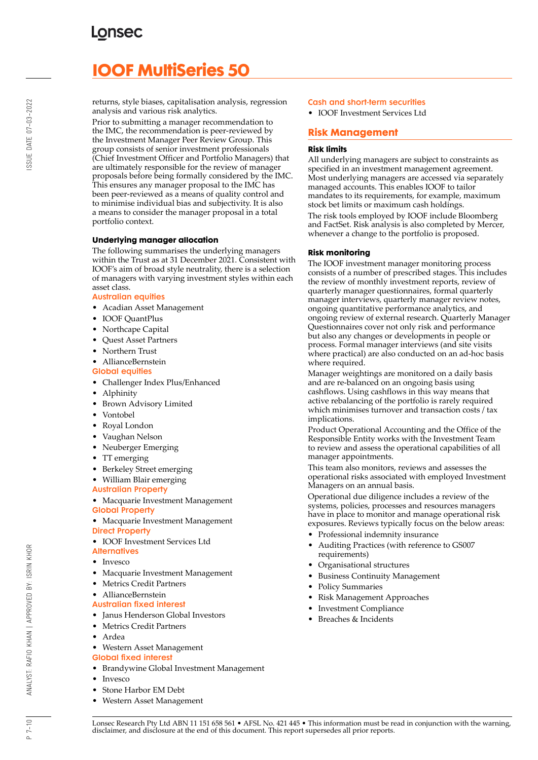# **IOOF MultiSeries 50**

returns, style biases, capitalisation analysis, regression analysis and various risk analytics.

Prior to submitting a manager recommendation to the IMC, the recommendation is peer-reviewed by the Investment Manager Peer Review Group. This group consists of senior investment professionals (Chief Investment Officer and Portfolio Managers) that are ultimately responsible for the review of manager proposals before being formally considered by the IMC. This ensures any manager proposal to the IMC has been peer-reviewed as a means of quality control and to minimise individual bias and subjectivity. It is also a means to consider the manager proposal in a total portfolio context.

## **Underlying manager allocation**

The following summarises the underlying managers within the Trust as at 31 December 2021. Consistent with IOOF's aim of broad style neutrality, there is a selection of managers with varying investment styles within each asset class.

## Australian equities

- Acadian Asset Management
- IOOF QuantPlus
- Northcape Capital
- Quest Asset Partners
- Northern Trust
- AllianceBernstein
- Global equities
- Challenger Index Plus/Enhanced
- Alphinity
- Brown Advisory Limited
- Vontobel
- Royal London
- Vaughan Nelson
- Neuberger Emerging
- TT emerging
- Berkeley Street emerging
- William Blair emerging
- Australian Property

• Macquarie Investment Management Global Property

- Macquarie Investment Management Direct Property
- IOOF Investment Services Ltd
- **Alternatives**
- **Invesco**
- Macquarie Investment Management
- Metrics Credit Partners
- AllianceBernstein

## Australian fixed interest

- Janus Henderson Global Investors
- Metrics Credit Partners
- Ardea

## • Western Asset Management Global fixed interest

- Brandywine Global Investment Management
- Invesco
- Stone Harbor EM Debt
- Western Asset Management

## Cash and short-term securities

• IOOF Investment Services Ltd

## **Risk Management**

## **Risk limits**

All underlying managers are subject to constraints as specified in an investment management agreement. Most underlying managers are accessed via separately managed accounts. This enables IOOF to tailor mandates to its requirements, for example, maximum stock bet limits or maximum cash holdings.

The risk tools employed by IOOF include Bloomberg and FactSet. Risk analysis is also completed by Mercer, whenever a change to the portfolio is proposed.

## **Risk monitoring**

The IOOF investment manager monitoring process consists of a number of prescribed stages. This includes the review of monthly investment reports, review of quarterly manager questionnaires, formal quarterly manager interviews, quarterly manager review notes, ongoing quantitative performance analytics, and ongoing review of external research. Quarterly Manager Questionnaires cover not only risk and performance but also any changes or developments in people or process. Formal manager interviews (and site visits where practical) are also conducted on an ad-hoc basis where required.

Manager weightings are monitored on a daily basis and are re-balanced on an ongoing basis using cashflows. Using cashflows in this way means that active rebalancing of the portfolio is rarely required which minimises turnover and transaction costs / tax implications.

Product Operational Accounting and the Office of the Responsible Entity works with the Investment Team to review and assess the operational capabilities of all manager appointments.

This team also monitors, reviews and assesses the operational risks associated with employed Investment Managers on an annual basis.

Operational due diligence includes a review of the systems, policies, processes and resources managers have in place to monitor and manage operational risk exposures. Reviews typically focus on the below areas:

- Professional indemnity insurance
- Auditing Practices (with reference to GS007 requirements)
- Organisational structures
- Business Continuity Management
- Policy Summaries
- Risk Management Approaches
- Investment Compliance
- Breaches & Incidents

 $P 7 - 10$ 

BY: ISRIN KHOR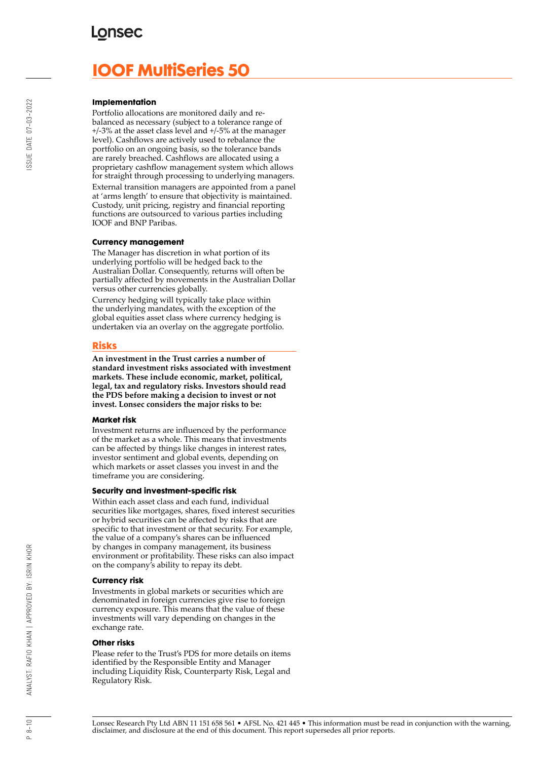## **LONSEC**

# **IOOF MultiSeries 50**

#### **Implementation**

Portfolio allocations are monitored daily and rebalanced as necessary (subject to a tolerance range of +/-3% at the asset class level and +/-5% at the manager level). Cashflows are actively used to rebalance the portfolio on an ongoing basis, so the tolerance bands are rarely breached. Cashflows are allocated using a proprietary cashflow management system which allows for straight through processing to underlying managers. External transition managers are appointed from a panel at 'arms length' to ensure that objectivity is maintained. Custody, unit pricing, registry and financial reporting functions are outsourced to various parties including IOOF and BNP Paribas.

#### **Currency management**

The Manager has discretion in what portion of its underlying portfolio will be hedged back to the Australian Dollar. Consequently, returns will often be partially affected by movements in the Australian Dollar versus other currencies globally.

Currency hedging will typically take place within the underlying mandates, with the exception of the global equities asset class where currency hedging is undertaken via an overlay on the aggregate portfolio.

## **Risks**

**An investment in the Trust carries a number of standard investment risks associated with investment markets. These include economic, market, political, legal, tax and regulatory risks. Investors should read the PDS before making a decision to invest or not invest. Lonsec considers the major risks to be:**

## **Market risk**

Investment returns are influenced by the performance of the market as a whole. This means that investments can be affected by things like changes in interest rates, investor sentiment and global events, depending on which markets or asset classes you invest in and the timeframe you are considering.

## **Security and investment-specific risk**

Within each asset class and each fund, individual securities like mortgages, shares, fixed interest securities or hybrid securities can be affected by risks that are specific to that investment or that security. For example, the value of a company's shares can be influenced by changes in company management, its business environment or profitability. These risks can also impact on the company's ability to repay its debt.

## **Currency risk**

Investments in global markets or securities which are denominated in foreign currencies give rise to foreign currency exposure. This means that the value of these investments will vary depending on changes in the exchange rate.

## **Other risks**

Please refer to the Trust's PDS for more details on items identified by the Responsible Entity and Manager including Liquidity Risk, Counterparty Risk, Legal and Regulatory Risk.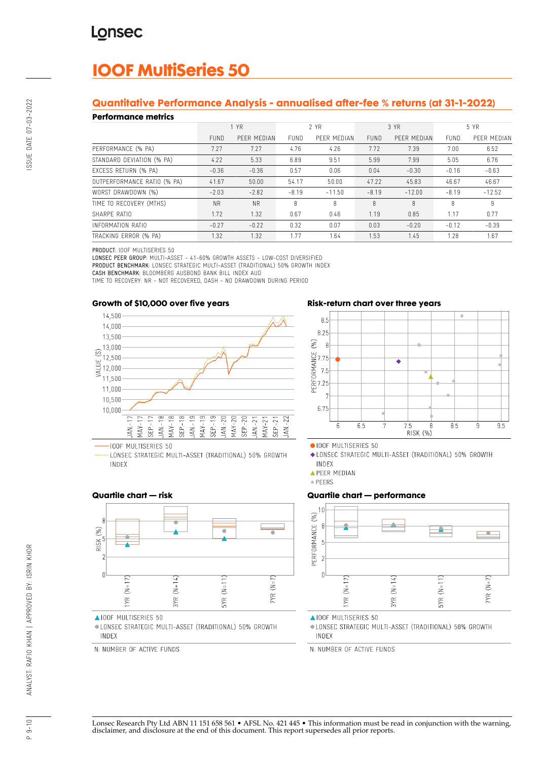# **IOOF MultiSeries 50**

## **Quantitative Performance Analysis - annualised after-fee % returns (at 31-1-2022)**

## **Performance metrics**

| נטוושוועט ווערוויטוו        |             |             |             |             |             |             |         |             |
|-----------------------------|-------------|-------------|-------------|-------------|-------------|-------------|---------|-------------|
|                             | 1 YR        |             | 2 YR        |             | 3 YR        |             | 5 YR    |             |
|                             | <b>FUND</b> | PEER MEDIAN | <b>FUND</b> | PEER MEDIAN | <b>FUND</b> | PEER MEDIAN | FUND    | PEER MEDIAN |
| PERFORMANCE (% PA)          | 7.27        | 7.27        | 4.76        | 4.26        | 7.72        | 7.39        | 7.00    | 6.52        |
| STANDARD DEVIATION (% PA)   | 4.22        | 5.33        | 6.89        | 9.51        | 5.99        | 7.99        | 5.05    | 6.76        |
| EXCESS RETURN (% PA)        | $-0.36$     | $-0.36$     | 0.57        | 0.06        | 0.04        | $-0.30$     | $-0.16$ | $-0.63$     |
| OUTPERFORMANCE RATIO (% PA) | 41.67       | 50.00       | 54.17       | 50.00       | 47.22       | 45.83       | 46.67   | 46.67       |
| WORST DRAWDOWN (%)          | $-2.03$     | $-2.82$     | $-8.19$     | $-11.50$    | $-8.19$     | $-12.00$    | $-8.19$ | $-12.52$    |
| TIME TO RECOVERY (MTHS)     | <b>NR</b>   | <b>NR</b>   | 8           | R           | 8           | 8           | 8       | 9           |
| SHARPE RATIO                | 1.72        | 1.32        | 0.67        | 0.46        | 1.19        | 0.85        | 1.17    | 0.77        |
| INFORMATION RATIO           | $-0.27$     | $-0.22$     | 0.32        | 0.07        | 0.03        | $-0.20$     | $-0.12$ | $-0.39$     |
| TRACKING ERROR (% PA)       | 1.32        | 1.32        | 1.77        | 1.64        | 1.53        | 1.45        | 1.28    | 1.67        |

PRODUCT: IOOF MULTISERIES 50

LONSEC PEER GROUP: MULTI-ASSET - 41-60% GROWTH ASSETS - LOW-COST DIVERSIFIED PRODUCT BENCHMARK: LONSEC STRATEGIC MULTI-ASSET (TRADITIONAL) 50% GROWTH INDEX CASH BENCHMARK: BLOOMBERG AUSBOND BANK BILL INDEX AUD

TIME TO RECOVERY: NR - NOT RECOVERED, DASH - NO DRAWDOWN DURING PERIOD



LONSEC STRATEGIC MULTI-ASSET (TRADITIONAL) 50% GROWTH INDEX





OIOOF MULTISERIES 50

◆ LONSEC STRATEGIC MULTI-ASSET (TRADITIONAL) 50% GROWTH INDEX

**APEER MEDIAN** 

· PEERS

## **Quartile chart — performance**



▲IOOF MULTISERIES 50

· LONSEC STRATEGIC MULTI-ASSET (TRADITIONAL) 50% GROWTH INDEX

N: NUMBER OF ACTIVE FUNDS

## **Quartile chart — risk**



▲IOOF MULTISERIES 50

· LONSEC STRATEGIC MULTI-ASSET (TRADITIONAL) 50% GROWTH INDEX

N: NUMBER OF ACTIVE FUNDS